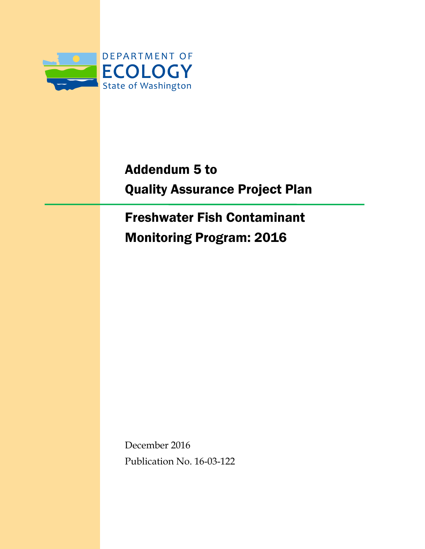

# Addendum 5 to Quality Assurance Project Plan

Freshwater Fish Contaminant Monitoring Program: 2016

December 2016 Publication No. 16-03-122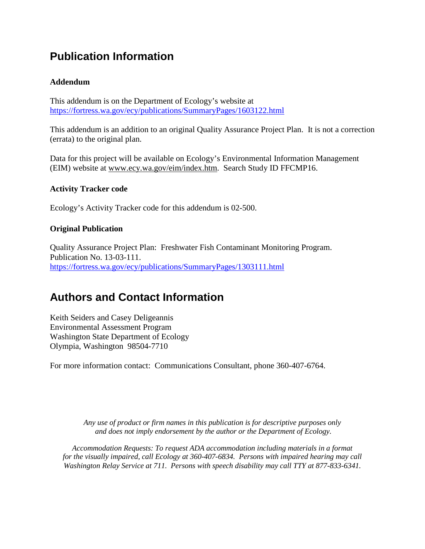### **Publication Information**

#### **Addendum**

This addendum is on the Department of Ecology's website at <https://fortress.wa.gov/ecy/publications/SummaryPages/1603122.html>

This addendum is an addition to an original Quality Assurance Project Plan. It is not a correction (errata) to the original plan.

Data for this project will be available on Ecology's Environmental Information Management (EIM) website at [www.ecy.wa.gov/eim/index.htm.](http://www.ecy.wa.gov/eim/index.htm) Search Study ID FFCMP16.

#### **Activity Tracker code**

Ecology's Activity Tracker code for this addendum is 02-500.

#### **Original Publication**

Quality Assurance Project Plan: Freshwater Fish Contaminant Monitoring Program. Publication No. 13-03-111. <https://fortress.wa.gov/ecy/publications/SummaryPages/1303111.html>

#### **Authors and Contact Information**

Keith Seiders and Casey Deligeannis Environmental Assessment Program Washington State Department of Ecology Olympia, Washington 98504-7710

For more information contact: Communications Consultant, phone 360-407-6764.

*Any use of product or firm names in this publication is for descriptive purposes only and does not imply endorsement by the author or the Department of Ecology.*

*Accommodation Requests: To request ADA accommodation including materials in a format for the visually impaired, call Ecology at 360-407-6834. Persons with impaired hearing may call Washington Relay Service at 711. Persons with speech disability may call TTY at 877-833-6341.*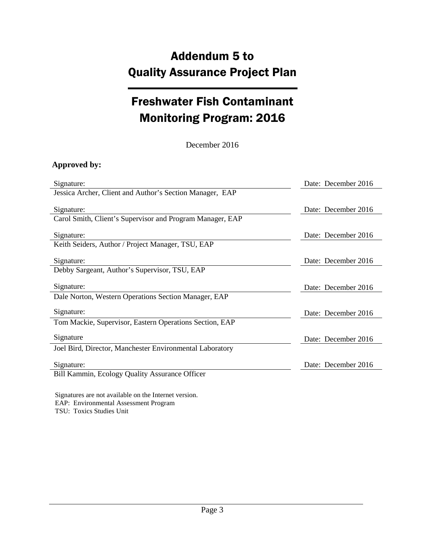## Addendum 5 to Quality Assurance Project Plan

## Freshwater Fish Contaminant Monitoring Program: 2016

December 2016

#### **Approved by:**

| Signature:                                                | Date: December 2016 |
|-----------------------------------------------------------|---------------------|
| Jessica Archer, Client and Author's Section Manager, EAP  |                     |
| Signature:                                                | Date: December 2016 |
| Carol Smith, Client's Supervisor and Program Manager, EAP |                     |
| Signature:                                                | Date: December 2016 |
| Keith Seiders, Author / Project Manager, TSU, EAP         |                     |
| Signature:                                                | Date: December 2016 |
| Debby Sargeant, Author's Supervisor, TSU, EAP             |                     |
| Signature:                                                | Date: December 2016 |
| Dale Norton, Western Operations Section Manager, EAP      |                     |
| Signature:                                                | Date: December 2016 |
| Tom Mackie, Supervisor, Eastern Operations Section, EAP   |                     |
| Signature                                                 | Date: December 2016 |
| Joel Bird, Director, Manchester Environmental Laboratory  |                     |
| Signature:                                                | Date: December 2016 |
| Bill Kammin, Ecology Quality Assurance Officer            |                     |
|                                                           |                     |

Signatures are not available on the Internet version. EAP: Environmental Assessment Program TSU: Toxics Studies Unit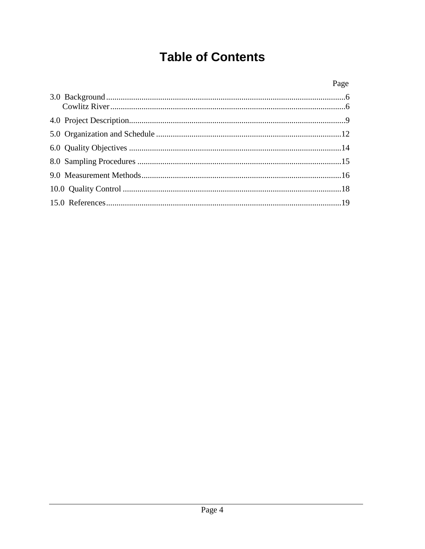## **Table of Contents**

| Page |
|------|
|      |
|      |
|      |
|      |
|      |
|      |
|      |
|      |
|      |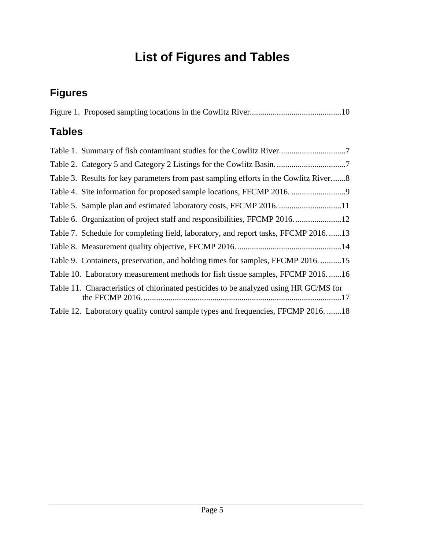# **List of Figures and Tables**

## **Figures**

### **Tables**

| Table 7. Schedule for completing field, laboratory, and report tasks, FFCMP 2016.  13 |
|---------------------------------------------------------------------------------------|
|                                                                                       |
| Table 9. Containers, preservation, and holding times for samples, FFCMP 201615        |
| Table 10. Laboratory measurement methods for fish tissue samples, FFCMP 201616        |
| Table 11. Characteristics of chlorinated pesticides to be analyzed using HR GC/MS for |
| Table 12. Laboratory quality control sample types and frequencies, FFCMP 2016. 18     |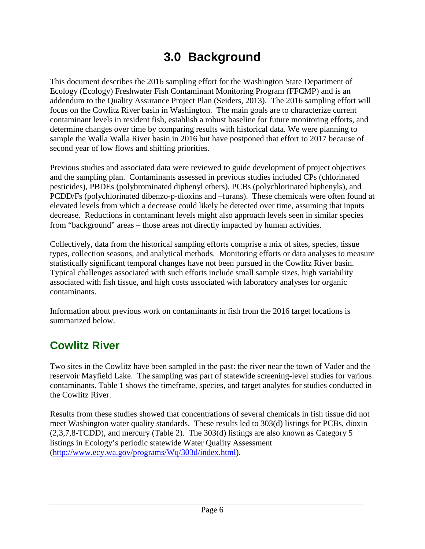## **3.0 Background**

<span id="page-5-0"></span>This document describes the 2016 sampling effort for the Washington State Department of Ecology (Ecology) Freshwater Fish Contaminant Monitoring Program (FFCMP) and is an addendum to the Quality Assurance Project Plan (Seiders, 2013). The 2016 sampling effort will focus on the Cowlitz River basin in Washington. The main goals are to characterize current contaminant levels in resident fish, establish a robust baseline for future monitoring efforts, and determine changes over time by comparing results with historical data. We were planning to sample the Walla Walla River basin in 2016 but have postponed that effort to 2017 because of second year of low flows and shifting priorities.

Previous studies and associated data were reviewed to guide development of project objectives and the sampling plan. Contaminants assessed in previous studies included CPs (chlorinated pesticides), PBDEs (polybrominated diphenyl ethers), PCBs (polychlorinated biphenyls), and PCDD/Fs (polychlorinated dibenzo-p-dioxins and –furans). These chemicals were often found at elevated levels from which a decrease could likely be detected over time, assuming that inputs decrease. Reductions in contaminant levels might also approach levels seen in similar species from "background" areas – those areas not directly impacted by human activities.

Collectively, data from the historical sampling efforts comprise a mix of sites, species, tissue types, collection seasons, and analytical methods. Monitoring efforts or data analyses to measure statistically significant temporal changes have not been pursued in the Cowlitz River basin. Typical challenges associated with such efforts include small sample sizes, high variability associated with fish tissue, and high costs associated with laboratory analyses for organic contaminants.

Information about previous work on contaminants in fish from the 2016 target locations is summarized below.

### <span id="page-5-1"></span>**Cowlitz River**

Two sites in the Cowlitz have been sampled in the past: the river near the town of Vader and the reservoir Mayfield Lake. The sampling was part of statewide screening-level studies for various contaminants. Table 1 shows the timeframe, species, and target analytes for studies conducted in the Cowlitz River.

Results from these studies showed that concentrations of several chemicals in fish tissue did not meet Washington water quality standards. These results led to 303(d) listings for PCBs, dioxin (2,3,7,8-TCDD), and mercury (Table 2). The 303(d) listings are also known as Category 5 listings in Ecology's periodic statewide Water Quality Assessment [\(http://www.ecy.wa.gov/programs/Wq/303d/index.html\)](http://www.ecy.wa.gov/programs/Wq/303d/index.html).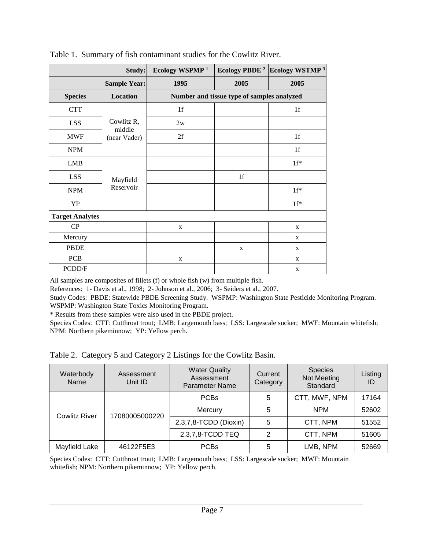|                        | Study:                 | Ecology WSPMP <sup>1</sup> | Ecology PBDE <sup>2</sup>                  | Ecology WSTMP <sup>3</sup> |
|------------------------|------------------------|----------------------------|--------------------------------------------|----------------------------|
|                        | <b>Sample Year:</b>    | 1995                       | 2005                                       | 2005                       |
| <b>Species</b>         | Location               |                            | Number and tissue type of samples analyzed |                            |
| <b>CTT</b>             |                        | 1f                         |                                            | 1f                         |
| <b>LSS</b>             | Cowlitz R,             | 2w                         |                                            |                            |
| <b>MWF</b>             | middle<br>(near Vader) | 2f                         |                                            | 1 <sub>f</sub>             |
| <b>NPM</b>             |                        |                            |                                            | 1 <sub>f</sub>             |
| <b>LMB</b>             |                        |                            |                                            | $1f^*$                     |
| LSS                    | Mayfield               |                            | 1f                                         |                            |
| <b>NPM</b>             | Reservoir              |                            |                                            | $1f^*$                     |
| YP                     |                        |                            |                                            | $1f^*$                     |
| <b>Target Analytes</b> |                        |                            |                                            |                            |
| CP                     |                        | X                          |                                            | X                          |
| Mercury                |                        |                            |                                            | X                          |
| PBDE                   |                        |                            | $\mathbf X$                                | $\mathbf X$                |
| <b>PCB</b>             |                        | $\mathbf X$                |                                            | $\mathbf X$                |
| PCDD/F                 |                        |                            |                                            | $\mathbf X$                |

<span id="page-6-0"></span>Table 1. Summary of fish contaminant studies for the Cowlitz River.

All samples are composites of fillets (f) or whole fish (w) from multiple fish.

References: 1- Davis et al., 1998; 2- Johnson et al., 2006; 3- Seiders et al., 2007.

Study Codes: PBDE: Statewide PBDE Screening Study. WSPMP: Washington State Pesticide Monitoring Program. WSPMP: Washington State Toxics Monitoring Program.

\* Results from these samples were also used in the PBDE project.

Species Codes: CTT: Cutthroat trout; LMB: Largemouth bass; LSS: Largescale sucker; MWF: Mountain whitefish; NPM: Northern pikeminnow; YP: Yellow perch.

<span id="page-6-1"></span>Table 2. Category 5 and Category 2 Listings for the Cowlitz Basin.

| Waterbody<br>Name    | Assessment<br>Unit ID | <b>Water Quality</b><br>Assessment<br><b>Parameter Name</b> | Current<br>Category | <b>Species</b><br>Not Meeting<br>Standard | Listing<br>ID |
|----------------------|-----------------------|-------------------------------------------------------------|---------------------|-------------------------------------------|---------------|
|                      |                       | <b>PCBs</b>                                                 | 5                   | CTT, MWF, NPM                             | 17164         |
| <b>Cowlitz River</b> | 17080005000220        | Mercury                                                     | 5                   | <b>NPM</b>                                | 52602         |
|                      |                       | 2,3,7,8-TCDD (Dioxin)                                       | 5                   | CTT, NPM                                  | 51552         |
|                      |                       | 2,3,7,8-TCDD TEQ                                            | 2                   | CTT, NPM                                  | 51605         |
| Mayfield Lake        | 46122F5E3             | <b>PCBs</b>                                                 | 5                   | LMB, NPM                                  | 52669         |

Species Codes: CTT: Cutthroat trout; LMB: Largemouth bass; LSS: Largescale sucker; MWF: Mountain whitefish; NPM: Northern pikeminnow; YP: Yellow perch.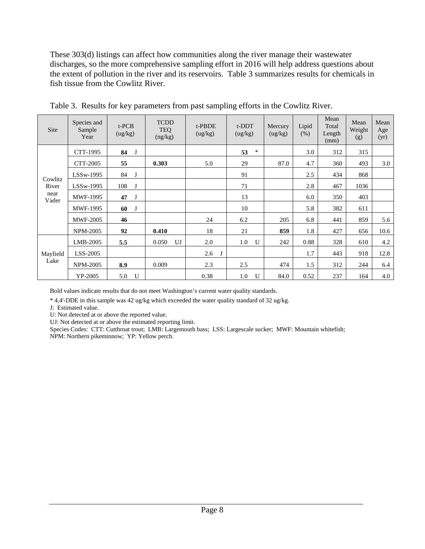These 303(d) listings can affect how communities along the river manage their wastewater discharges, so the more comprehensive sampling effort in 2016 will help address questions about the extent of pollution in the river and its reservoirs. Table 3 summarizes results for chemicals in fish tissue from the Cowlitz River.

| <b>Site</b>      | Species and<br>Sample<br>Year | $t$ -PCB<br>(ug/kg) | <b>TCDD</b><br><b>TEQ</b><br>(ng/kg) | t-PBDE<br>(ug/kg) | t-DDT<br>(ug/kg) | Mercury<br>(ug/kg) | Lipid<br>$(\%)$ | Mean<br>Total<br>Length<br>(mm) | Mean<br>Weight<br>(g) | Mean<br>Age<br>(yr) |
|------------------|-------------------------------|---------------------|--------------------------------------|-------------------|------------------|--------------------|-----------------|---------------------------------|-----------------------|---------------------|
|                  | CTT-1995                      | 84<br>J             |                                      |                   | 53<br>$\ast$     |                    | 3.0             | 312                             | 315                   |                     |
|                  | CTT-2005                      | 55                  | 0.303                                | 5.0               | 29               | 87.0               | 4.7             | 360                             | 493                   | 3.0                 |
|                  | $LSSw-1995$                   | 84<br>J             |                                      |                   | 91               |                    | 2.5             | 434                             | 868                   |                     |
| Cowlitz<br>River | LSSw-1995                     | 108<br>J            |                                      |                   | 71               |                    | 2.8             | 467                             | 1036                  |                     |
| near<br>Vader    | MWF-1995                      | 47<br>J             |                                      |                   | 13               |                    | 6.0             | 350                             | 403                   |                     |
|                  | <b>MWF-1995</b>               | 60<br>J             |                                      |                   | 10               |                    | 5.8             | 382                             | 611                   |                     |
|                  | <b>MWF-2005</b>               | 46                  |                                      | 24                | 6.2              | 205                | 6.8             | 441                             | 859                   | 5.6                 |
|                  | <b>NPM-2005</b>               | 92                  | 0.410                                | 18                | 21               | 859                | 1.8             | 427                             | 656                   | 10.6                |
|                  | $LMB-2005$                    | 5.5                 | UJ<br>0.050                          | 2.0               | 1.0<br>U         | 242                | 0.88            | 328                             | 610                   | 4.2                 |
| Mayfield         | LSS-2005                      |                     |                                      | 2.6               |                  |                    | 1.7             | 443                             | 918                   | 12.8                |
| Lake             | <b>NPM-2005</b>               | 8.9                 | 0.009                                | 2.3               | 2.5              | 474                | 1.5             | 312                             | 244                   | 6.4                 |
|                  | YP-2005                       | 5.0<br>U            |                                      | 0.38              | U<br>1.0         | 84.0               | 0.52            | 237                             | 164                   | 4.0                 |

<span id="page-7-0"></span>Table 3. Results for key parameters from past sampling efforts in the Cowlitz River.

Bold values indicate results that do not meet Washington's current water quality standards.

\* 4,4'-DDE in this sample was 42 ug/kg which exceeded the water quality standard of 32 ug/kg.

J: Estimated value.

U: Not detected at or above the reported value.

UJ: Not detected at or above the estimated reporting limit.

Species Codes: CTT: Cutthroat trout; LMB: Largemouth bass; LSS: Largescale sucker; MWF: Mountain whitefish; NPM: Northern pikeminnow; YP: Yellow perch.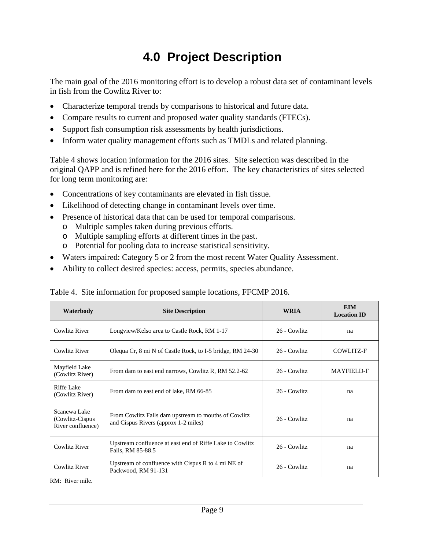# **4.0 Project Description**

<span id="page-8-0"></span>The main goal of the 2016 monitoring effort is to develop a robust data set of contaminant levels in fish from the Cowlitz River to:

- Characterize temporal trends by comparisons to historical and future data.
- Compare results to current and proposed water quality standards (FTECs).
- Support fish consumption risk assessments by health jurisdictions.
- Inform water quality management efforts such as TMDLs and related planning.

Table 4 shows location information for the 2016 sites. Site selection was described in the original QAPP and is refined here for the 2016 effort. The key characteristics of sites selected for long term monitoring are:

- Concentrations of key contaminants are elevated in fish tissue.
- Likelihood of detecting change in contaminant levels over time.
- Presence of historical data that can be used for temporal comparisons.
	- o Multiple samples taken during previous efforts.
	- o Multiple sampling efforts at different times in the past.
	- o Potential for pooling data to increase statistical sensitivity.
- Waters impaired: Category 5 or 2 from the most recent Water Quality Assessment.
- Ability to collect desired species: access, permits, species abundance.

| Waterbody                                             | <b>Site Description</b>                                                                      | <b>WRIA</b>  | <b>EIM</b><br><b>Location ID</b> |
|-------------------------------------------------------|----------------------------------------------------------------------------------------------|--------------|----------------------------------|
| <b>Cowlitz River</b>                                  | Longview/Kelso area to Castle Rock, RM 1-17                                                  | 26 - Cowlitz | na                               |
| Cowlitz River                                         | Olequa Cr, 8 mi N of Castle Rock, to I-5 bridge, RM 24-30                                    | 26 - Cowlitz | COWLITZ-F                        |
| Mayfield Lake<br>(Cowlitz River)                      | From dam to east end narrows, Cowlitz R, RM 52.2-62                                          | 26 - Cowlitz | <b>MAYFIELD-F</b>                |
| Riffe Lake<br>(Cowlitz River)                         | From dam to east end of lake, RM 66-85                                                       | 26 - Cowlitz | na                               |
| Scanewa Lake<br>(Cowlitz-Cispus)<br>River confluence) | From Cowlitz Falls dam upstream to mouths of Cowlitz<br>and Cispus Rivers (approx 1-2 miles) |              | na                               |
| Cowlitz River                                         | Upstream confluence at east end of Riffe Lake to Cowlitz<br>Falls, RM 85-88.5                |              | na                               |
| Cowlitz River                                         | Upstream of confluence with Cispus R to 4 mi NE of<br>Packwood, RM 91-131                    | 26 - Cowlitz | na                               |

<span id="page-8-1"></span>Table 4. Site information for proposed sample locations, FFCMP 2016.

RM: River mile.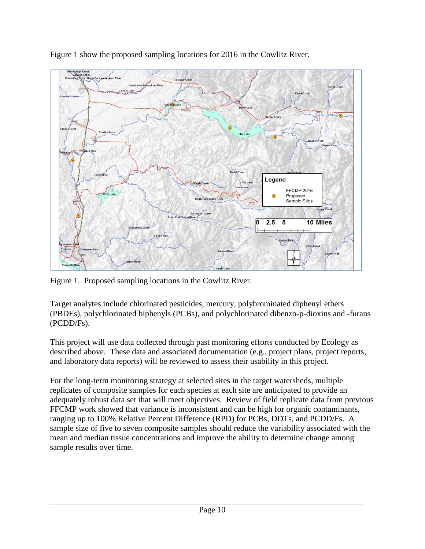

Figure 1 show the proposed sampling locations for 2016 in the Cowlitz River.

<span id="page-9-0"></span>Figure 1. Proposed sampling locations in the Cowlitz River.

Target analytes include chlorinated pesticides, mercury, polybrominated diphenyl ethers (PBDEs), polychlorinated biphenyls (PCBs), and polychlorinated dibenzo-p-dioxins and -furans (PCDD/Fs).

This project will use data collected through past monitoring efforts conducted by Ecology as described above. These data and associated documentation (e.g., project plans, project reports, and laboratory data reports) will be reviewed to assess their usability in this project.

For the long-term monitoring strategy at selected sites in the target watersheds, multiple replicates of composite samples for each species at each site are anticipated to provide an adequately robust data set that will meet objectives. Review of field replicate data from previous FFCMP work showed that variance is inconsistent and can be high for organic contaminants, ranging up to 100% Relative Percent Difference (RPD) for PCBs, DDTs, and PCDD/Fs. A sample size of five to seven composite samples should reduce the variability associated with the mean and median tissue concentrations and improve the ability to determine change among sample results over time.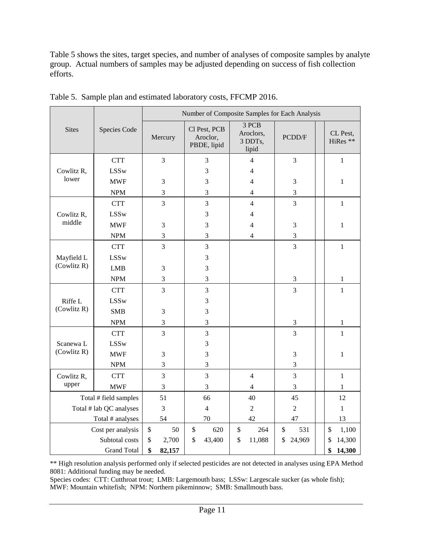Table 5 shows the sites, target species, and number of analyses of composite samples by analyte group. Actual numbers of samples may be adjusted depending on success of fish collection efforts.

|                     |                           | Number of Composite Samples for Each Analysis |                                         |                                        |                |  |                      |  |
|---------------------|---------------------------|-----------------------------------------------|-----------------------------------------|----------------------------------------|----------------|--|----------------------|--|
| <b>Sites</b>        | Species Code              | Mercury                                       | Cl Pest, PCB<br>Aroclor,<br>PBDE, lipid | 3 PCB<br>Aroclors,<br>3 DDTs,<br>lipid | PCDD/F         |  | CL Pest,<br>HiRes ** |  |
|                     | <b>CTT</b>                | 3                                             | 3                                       | $\overline{4}$                         | 3              |  | $\mathbf{1}$         |  |
| Cowlitz R,<br>lower | <b>LSSw</b>               |                                               | 3                                       | $\overline{4}$                         |                |  |                      |  |
|                     | <b>MWF</b>                | 3                                             | 3                                       | 4                                      | $\mathfrak{Z}$ |  | 1                    |  |
|                     | $\ensuremath{\text{NPM}}$ | 3                                             | 3                                       | $\overline{4}$                         | 3              |  |                      |  |
|                     | <b>CTT</b>                | 3                                             | 3                                       | $\overline{4}$                         | 3              |  | $\mathbf{1}$         |  |
| Cowlitz R,          | <b>LSSw</b>               |                                               | 3                                       | 4                                      |                |  |                      |  |
| middle              | <b>MWF</b>                | 3                                             | 3                                       | $\overline{4}$                         | 3              |  | $\mathbf{1}$         |  |
|                     | <b>NPM</b>                | $\mathfrak 3$                                 | 3                                       | $\overline{4}$                         | 3              |  |                      |  |
|                     | <b>CTT</b>                | 3                                             | 3                                       |                                        | $\overline{3}$ |  | $\mathbf{1}$         |  |
| Mayfield L          | <b>LSSw</b>               |                                               | 3                                       |                                        |                |  |                      |  |
| (Cowlitz R)         | <b>LMB</b>                | $\mathfrak{Z}$                                | $\overline{3}$                          |                                        |                |  |                      |  |
|                     | <b>NPM</b>                | 3                                             | 3                                       |                                        | 3              |  | $\mathbf{1}$         |  |
|                     | <b>CTT</b>                | $\overline{3}$                                | $\overline{3}$                          |                                        | 3              |  | $\mathbf{1}$         |  |
| Riffe L             | <b>LSSw</b>               |                                               | 3                                       |                                        |                |  |                      |  |
| (Cowlitz R)         | <b>SMB</b>                | $\mathfrak{Z}$                                | 3                                       |                                        |                |  |                      |  |
|                     | <b>NPM</b>                | 3                                             | 3                                       |                                        | $\mathfrak 3$  |  | $\mathbf{1}$         |  |
|                     | <b>CTT</b>                | $\overline{3}$                                | 3                                       |                                        | $\overline{3}$ |  | $\mathbf{1}$         |  |
| Scanewa L           | <b>LSSw</b>               |                                               | 3                                       |                                        |                |  |                      |  |
| (Cowlitz R)         | <b>MWF</b>                | $\mathfrak{Z}$                                | $\overline{3}$                          |                                        | $\mathfrak{Z}$ |  | $\mathbf{1}$         |  |
|                     | $\ensuremath{\text{NPM}}$ | $\mathfrak{Z}$                                | 3                                       |                                        | $\mathfrak{Z}$ |  |                      |  |
| Cowlitz R,          | <b>CTT</b>                | 3                                             | 3                                       | $\overline{4}$                         | 3              |  | $\mathbf{1}$         |  |
| upper               | <b>MWF</b>                | $\mathfrak{Z}$                                | 3                                       | $\overline{4}$                         | 3              |  | 1                    |  |
|                     | Total # field samples     | 51                                            | 66                                      | 40                                     | 45             |  | 12                   |  |
|                     | Total # lab QC analyses   |                                               | $\overline{4}$                          | $\overline{2}$                         | $\overline{2}$ |  | $\mathbf{1}$         |  |
|                     | Total # analyses          | 54                                            | 70                                      | 42                                     | 47             |  | 13                   |  |
|                     | Cost per analysis         | \$<br>50                                      | 620<br>\$                               | 264<br>\$                              | \$<br>531      |  | 1,100<br>\$          |  |
|                     | Subtotal costs            | \$<br>2,700                                   | \$<br>43,400                            | \$<br>11,088                           | \$<br>24,969   |  | 14,300<br>\$         |  |
|                     | <b>Grand Total</b>        | \$<br>82,157                                  |                                         |                                        |                |  | \$<br>14,300         |  |

<span id="page-10-0"></span>Table 5. Sample plan and estimated laboratory costs, FFCMP 2016.

\*\* High resolution analysis performed only if selected pesticides are not detected in analyses using EPA Method 8081: Additional funding may be needed.

Species codes: CTT: Cutthroat trout; LMB: Largemouth bass; LSSw: Largescale sucker (as whole fish); MWF: Mountain whitefish; NPM: Northern pikeminnow; SMB: Smallmouth bass.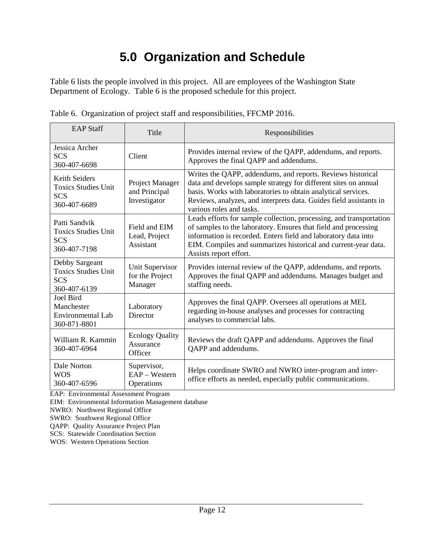# **5.0 Organization and Schedule**

<span id="page-11-0"></span>Table 6 lists the people involved in this project. All are employees of the Washington State Department of Ecology. Table 6 is the proposed schedule for this project.

| <b>EAP Staff</b>                                                                 | Title                                            | Responsibilities                                                                                                                                                                                                                                                                                     |
|----------------------------------------------------------------------------------|--------------------------------------------------|------------------------------------------------------------------------------------------------------------------------------------------------------------------------------------------------------------------------------------------------------------------------------------------------------|
| Jessica Archer<br><b>SCS</b><br>360-407-6698                                     | Client                                           | Provides internal review of the QAPP, addendums, and reports.<br>Approves the final QAPP and addendums.                                                                                                                                                                                              |
| <b>Keith Seiders</b><br><b>Toxics Studies Unit</b><br><b>SCS</b><br>360-407-6689 | Project Manager<br>and Principal<br>Investigator | Writes the QAPP, addendums, and reports. Reviews historical<br>data and develops sample strategy for different sites on annual<br>basis. Works with laboratories to obtain analytical services.<br>Reviews, analyzes, and interprets data. Guides field assistants in<br>various roles and tasks.    |
| Patti Sandvik<br><b>Toxics Studies Unit</b><br><b>SCS</b><br>360-407-7198        | Field and EIM<br>Lead, Project<br>Assistant      | Leads efforts for sample collection, processing, and transportation<br>of samples to the laboratory. Ensures that field and processing<br>information is recorded. Enters field and laboratory data into<br>EIM. Compiles and summarizes historical and current-year data.<br>Assists report effort. |
| Debby Sargeant<br><b>Toxics Studies Unit</b><br><b>SCS</b><br>360-407-6139       | Unit Supervisor<br>for the Project<br>Manager    | Provides internal review of the QAPP, addendums, and reports.<br>Approves the final QAPP and addendums. Manages budget and<br>staffing needs.                                                                                                                                                        |
| <b>Joel Bird</b><br>Manchester<br><b>Environmental Lab</b><br>360-871-8801       | Laboratory<br>Director                           | Approves the final QAPP. Oversees all operations at MEL<br>regarding in-house analyses and processes for contracting<br>analyses to commercial labs.                                                                                                                                                 |
| William R. Kammin<br>360-407-6964                                                | <b>Ecology Quality</b><br>Assurance<br>Officer   | Reviews the draft QAPP and addendums. Approves the final<br>QAPP and addendums.                                                                                                                                                                                                                      |
| Dale Norton<br><b>WOS</b><br>360-407-6596                                        | Supervisor,<br>EAP - Western<br>Operations       | Helps coordinate SWRO and NWRO inter-program and inter-<br>office efforts as needed, especially public communications.                                                                                                                                                                               |

<span id="page-11-1"></span>Table 6. Organization of project staff and responsibilities, FFCMP 2016.

EAP: Environmental Assessment Program

EIM: Environmental Information Management database

NWRO: Northwest Regional Office

SWRO: Southwest Regional Office

QAPP: Quality Assurance Project Plan

SCS: Statewide Coordination Section

WOS: Western Operations Section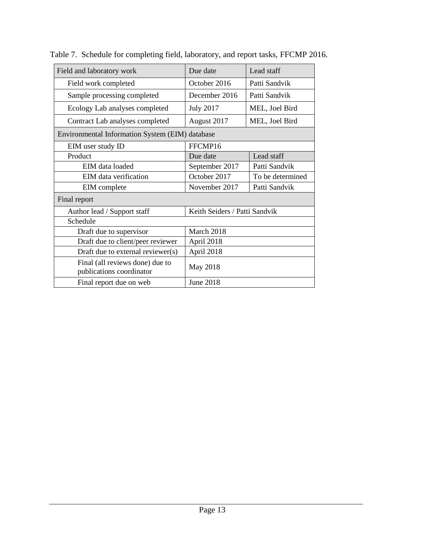| Field and laboratory work                                   | Due date                      | Lead staff       |  |  |
|-------------------------------------------------------------|-------------------------------|------------------|--|--|
| Field work completed                                        | October 2016                  | Patti Sandvik    |  |  |
| Sample processing completed                                 | December 2016                 | Patti Sandvik    |  |  |
| Ecology Lab analyses completed                              | <b>July 2017</b>              | MEL, Joel Bird   |  |  |
| Contract Lab analyses completed                             | August 2017                   | MEL, Joel Bird   |  |  |
| Environmental Information System (EIM) database             |                               |                  |  |  |
| EIM user study ID                                           | FFCMP16                       |                  |  |  |
| Product                                                     | Due date                      | Lead staff       |  |  |
| EIM data loaded                                             | September 2017                | Patti Sandvik    |  |  |
| EIM data verification                                       | October 2017                  | To be determined |  |  |
| EIM complete                                                | November 2017                 | Patti Sandvik    |  |  |
| Final report                                                |                               |                  |  |  |
| Author lead / Support staff                                 | Keith Seiders / Patti Sandvik |                  |  |  |
| Schedule                                                    |                               |                  |  |  |
| Draft due to supervisor                                     | March 2018                    |                  |  |  |
| Draft due to client/peer reviewer                           | April 2018                    |                  |  |  |
| Draft due to external reviewer(s)                           | April 2018                    |                  |  |  |
| Final (all reviews done) due to<br>publications coordinator | May 2018                      |                  |  |  |
| Final report due on web                                     | <b>June 2018</b>              |                  |  |  |

<span id="page-12-0"></span>Table 7. Schedule for completing field, laboratory, and report tasks, FFCMP 2016.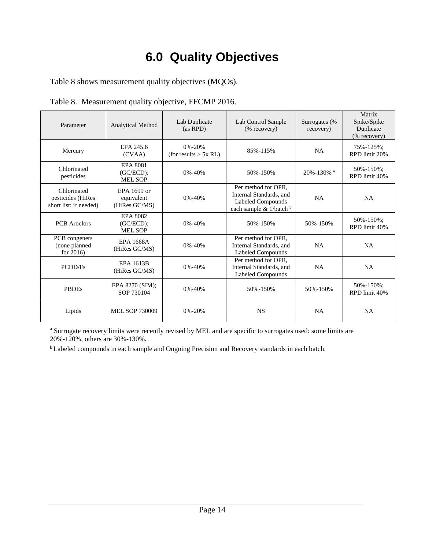# **6.0 Quality Objectives**

<span id="page-13-0"></span>Table 8 shows measurement quality objectives (MQOs).

| Parameter                                                  | <b>Analytical Method</b>                          | Lab Duplicate<br>(as RPD)               | Lab Control Sample<br>(% recovery)                                                             | Surrogates (%<br>recovery) | Matrix<br>Spike/Spike<br>Duplicate<br>(% recovery) |
|------------------------------------------------------------|---------------------------------------------------|-----------------------------------------|------------------------------------------------------------------------------------------------|----------------------------|----------------------------------------------------|
| Mercury                                                    | EPA 245.6<br>(CVAA)                               | $0\% - 20\%$<br>(for results $> 5x$ RL) | 85%-115%                                                                                       | <b>NA</b>                  | 75%-125%;<br>RPD limit 20%                         |
| Chlorinated<br>pesticides                                  | <b>EPA 8081</b><br>$(GC/ECD)$ ;<br><b>MEL SOP</b> | 0%-40%                                  | 50%-150%                                                                                       | 20%-130% a                 | 50%-150%;<br>RPD limit 40%                         |
| Chlorinated<br>pesticides (HiRes<br>short list: if needed) | EPA 1699 or<br>equivalent<br>(HiRes GC/MS)        | $0\% - 40\%$                            | Per method for OPR.<br>Internal Standards, and<br>Labeled Compounds<br>each sample & 1/batch b | NA                         | <b>NA</b>                                          |
| <b>PCB</b> Aroclors                                        | <b>EPA 8082</b><br>$(GC/ECD)$ ;<br>MEL SOP        | $0\% - 40\%$                            | 50%-150%                                                                                       | 50%-150%                   | 50%-150%;<br>RPD limit 40%                         |
| PCB congeners<br>(none planned<br>for $2016$               | <b>EPA 1668A</b><br>(HiRes GC/MS)                 | $0\% - 40\%$                            | Per method for OPR,<br>Internal Standards, and<br>Labeled Compounds                            | <b>NA</b>                  | <b>NA</b>                                          |
| PCDD/Fs                                                    | <b>EPA 1613B</b><br>(HiRes GC/MS)                 | $0\% - 40\%$                            | Per method for OPR,<br>Internal Standards, and<br>Labeled Compounds                            | <b>NA</b>                  | <b>NA</b>                                          |
| <b>PBDEs</b>                                               | EPA 8270 (SIM);<br>SOP 730104                     | $0\% - 40\%$                            | 50%-150%                                                                                       | 50%-150%                   | 50%-150%;<br>RPD limit 40%                         |
| Lipids                                                     | <b>MEL SOP 730009</b>                             | $0\% - 20\%$                            | <b>NS</b>                                                                                      | <b>NA</b>                  | NA                                                 |

<span id="page-13-1"></span>Table 8. Measurement quality objective, FFCMP 2016.

<sup>a</sup> Surrogate recovery limits were recently revised by MEL and are specific to surrogates used: some limits are 20%-120%, others are 30%-130%.

<sup>b</sup> Labeled compounds in each sample and Ongoing Precision and Recovery standards in each batch.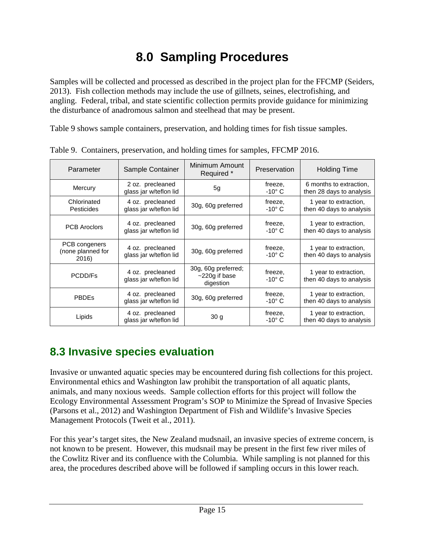# **8.0 Sampling Procedures**

<span id="page-14-0"></span>Samples will be collected and processed as described in the project plan for the FFCMP (Seiders, 2013). Fish collection methods may include the use of gillnets, seines, electrofishing, and angling. Federal, tribal, and state scientific collection permits provide guidance for minimizing the disturbance of anadromous salmon and steelhead that may be present.

Table 9 shows sample containers, preservation, and holding times for fish tissue samples.

| Parameter                                   | Sample Container                           | Minimum Amount<br>Required *                        | Preservation               | <b>Holding Time</b>                                 |  |
|---------------------------------------------|--------------------------------------------|-----------------------------------------------------|----------------------------|-----------------------------------------------------|--|
| Mercury                                     | 2 oz. precleaned<br>glass jar w/teflon lid | 5g                                                  | freeze,<br>$-10^{\circ}$ C | 6 months to extraction,<br>then 28 days to analysis |  |
| Chlorinated<br><b>Pesticides</b>            | 4 oz. precleaned<br>glass jar w/teflon lid | 30g, 60g preferred                                  | freeze,<br>$-10^{\circ}$ C | 1 year to extraction,<br>then 40 days to analysis   |  |
| <b>PCB Aroclors</b>                         | 4 oz. precleaned<br>glass jar w/teflon lid | 30g, 60g preferred                                  | freeze,<br>$-10^{\circ}$ C | 1 year to extraction,<br>then 40 days to analysis   |  |
| PCB congeners<br>(none planned for<br>2016) | 4 oz. precleaned<br>glass jar w/teflon lid | 30g, 60g preferred                                  | freeze,<br>$-10^{\circ}$ C | 1 year to extraction,<br>then 40 days to analysis   |  |
| PCDD/Fs                                     | 4 oz. precleaned<br>glass jar w/teflon lid | 30g, 60g preferred;<br>$~220g$ if base<br>digestion | freeze,<br>$-10^{\circ}$ C | 1 year to extraction,<br>then 40 days to analysis   |  |
| <b>PBDEs</b>                                | 4 oz. precleaned<br>glass jar w/teflon lid | 30g, 60g preferred                                  | freeze,<br>$-10^{\circ}$ C | 1 year to extraction,<br>then 40 days to analysis   |  |
| Lipids                                      | 4 oz. precleaned<br>glass jar w/teflon lid | 30 <sub>q</sub>                                     | freeze,<br>$-10^{\circ}$ C | 1 year to extraction,<br>then 40 days to analysis   |  |

<span id="page-14-1"></span>Table 9. Containers, preservation, and holding times for samples, FFCMP 2016.

### **8.3 Invasive species evaluation**

Invasive or unwanted aquatic species may be encountered during fish collections for this project. Environmental ethics and Washington law prohibit the transportation of all aquatic plants, animals, and many noxious weeds. Sample collection efforts for this project will follow the Ecology Environmental Assessment Program's SOP to Minimize the Spread of Invasive Species (Parsons et al., 2012) and Washington Department of Fish and Wildlife's Invasive Species Management Protocols (Tweit et al., 2011).

For this year's target sites, the New Zealand mudsnail, an invasive species of extreme concern, is not known to be present. However, this mudsnail may be present in the first few river miles of the Cowlitz River and its confluence with the Columbia. While sampling is not planned for this area, the procedures described above will be followed if sampling occurs in this lower reach.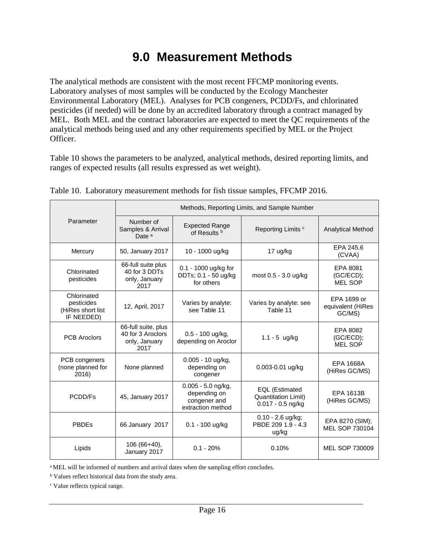## **9.0 Measurement Methods**

<span id="page-15-0"></span>The analytical methods are consistent with the most recent FFCMP monitoring events. Laboratory analyses of most samples will be conducted by the Ecology Manchester Environmental Laboratory (MEL). Analyses for PCB congeners, PCDD/Fs, and chlorinated pesticides (if needed) will be done by an accredited laboratory through a contract managed by MEL. Both MEL and the contract laboratories are expected to meet the QC requirements of the analytical methods being used and any other requirements specified by MEL or the Project Officer.

Table 10 shows the parameters to be analyzed, analytical methods, desired reporting limits, and ranges of expected results (all results expressed as wet weight).

|                                                              | Methods, Reporting Limits, and Sample Number                      |                                                                           |                                                                            |                                            |  |  |
|--------------------------------------------------------------|-------------------------------------------------------------------|---------------------------------------------------------------------------|----------------------------------------------------------------------------|--------------------------------------------|--|--|
| Parameter                                                    | Number of<br>Samples & Arrival<br>Date <sup>a</sup>               | <b>Expected Range</b><br>of Results <sup>b</sup>                          | Reporting Limits <sup>c</sup>                                              | <b>Analytical Method</b>                   |  |  |
| Mercury                                                      | 50, January 2017                                                  | 10 - 1000 ug/kg                                                           | 17 ug/kg                                                                   | EPA 245.6<br>(CVAA)                        |  |  |
| Chlorinated<br>pesticides                                    | 66-full suite plus<br>40 for 3 DDTs<br>only, January<br>2017      | 0.1 - 1000 ug/kg for<br>DDTs; 0.1 - 50 ug/kg<br>for others                | most 0.5 - 3.0 ug/kg                                                       | EPA 8081<br>(GC/ECD);<br><b>MEL SOP</b>    |  |  |
| Chlorinated<br>pesticides<br>(HiRes short list<br>IF NEEDED) | 12, April, 2017                                                   | Varies by analyte:<br>see Table 11                                        | Varies by analyte: see<br>Table 11                                         | EPA 1699 or<br>equivalent (HiRes<br>GC/MS) |  |  |
| <b>PCB Aroclors</b>                                          | 66-full suite, plus<br>40 for 3 Aroclors<br>only, January<br>2017 | 0.5 - 100 ug/kg,<br>depending on Aroclor                                  | $1.1 - 5$ ug/kg                                                            | EPA 8082<br>(GC/ECD);<br><b>MEL SOP</b>    |  |  |
| PCB congeners<br>(none planned for<br>2016)                  | None planned                                                      | 0.005 - 10 ug/kg,<br>depending on<br>congener                             | 0.003-0.01 ug/kg                                                           | <b>EPA 1668A</b><br>(HiRes GC/MS)          |  |  |
| PCDD/Fs                                                      | 45, January 2017                                                  | $0.005 - 5.0$ ng/kg,<br>depending on<br>congener and<br>extraction method | <b>EQL</b> (Estimated<br><b>Quantitation Limit)</b><br>$0.017 - 0.5$ ng/kg | EPA 1613B<br>(HiRes GC/MS)                 |  |  |
| <b>PBDEs</b>                                                 | 66 January 2017                                                   | $0.1 - 100$ ug/kg                                                         | $0.10 - 2.6$ ug/kg;<br>PBDE 209 1.9 - 4.3<br>ug/kg                         | EPA 8270 (SIM);<br>MEL SOP 730104          |  |  |
| Lipids                                                       | $106(66+40),$<br>January 2017                                     | $0.1 - 20%$                                                               | 0.10%                                                                      | MEL SOP 730009                             |  |  |

<span id="page-15-1"></span>

|  | Table 10. Laboratory measurement methods for fish tissue samples, FFCMP 2016. |  |  |  |
|--|-------------------------------------------------------------------------------|--|--|--|
|  |                                                                               |  |  |  |

<sup>a</sup> MEL will be informed of numbers and arrival dates when the sampling effort concludes.

**b** Values reflect historical data from the study area.

<sup>c</sup> Value reflects typical range.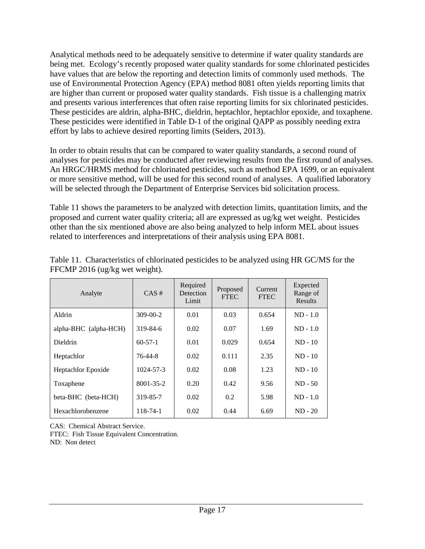Analytical methods need to be adequately sensitive to determine if water quality standards are being met. Ecology's recently proposed water quality standards for some chlorinated pesticides have values that are below the reporting and detection limits of commonly used methods. The use of Environmental Protection Agency (EPA) method 8081 often yields reporting limits that are higher than current or proposed water quality standards. Fish tissue is a challenging matrix and presents various interferences that often raise reporting limits for six chlorinated pesticides. These pesticides are aldrin, alpha-BHC, dieldrin, heptachlor, heptachlor epoxide, and toxaphene. These pesticides were identified in Table D-1 of the original QAPP as possibly needing extra effort by labs to achieve desired reporting limits (Seiders, 2013).

In order to obtain results that can be compared to water quality standards, a second round of analyses for pesticides may be conducted after reviewing results from the first round of analyses. An HRGC/HRMS method for chlorinated pesticides, such as method EPA 1699, or an equivalent or more sensitive method, will be used for this second round of analyses. A qualified laboratory will be selected through the Department of Enterprise Services bid solicitation process.

Table 11 shows the parameters to be analyzed with detection limits, quantitation limits, and the proposed and current water quality criteria; all are expressed as ug/kg wet weight. Pesticides other than the six mentioned above are also being analyzed to help inform MEL about issues related to interferences and interpretations of their analysis using EPA 8081.

| Analyte               | $CAS \#$        | Required<br>Detection<br>Limit | Proposed<br><b>FTEC</b> | Current<br><b>FTEC</b> | Expected<br>Range of<br><b>Results</b> |
|-----------------------|-----------------|--------------------------------|-------------------------|------------------------|----------------------------------------|
| Aldrin                | $309 - 00 - 2$  | 0.01                           | 0.03                    | 0.654                  | $ND - 1.0$                             |
| alpha-BHC (alpha-HCH) | 319-84-6        | 0.02                           | 0.07                    | 1.69                   | $ND - 1.0$                             |
| <b>Dieldrin</b>       | $60 - 57 - 1$   | 0.01                           | 0.029                   | 0.654                  | $ND - 10$                              |
| Heptachlor            | 76-44-8         | 0.02                           | 0.111                   | 2.35                   | $ND - 10$                              |
| Heptachlor Epoxide    | 1024-57-3       | 0.02                           | 0.08                    | 1.23                   | $ND - 10$                              |
| Toxaphene             | $8001 - 35 - 2$ | 0.20                           | 0.42                    | 9.56                   | $ND - 50$                              |
| beta-BHC (beta-HCH)   | 319-85-7        | 0.02                           | 0.2                     | 5.98                   | $ND - 1.0$                             |
| Hexachlorobenzene     | 118-74-1        | 0.02                           | 0.44                    | 6.69                   | $ND - 20$                              |

<span id="page-16-0"></span>Table 11. Characteristics of chlorinated pesticides to be analyzed using HR GC/MS for the FFCMP 2016 (ug/kg wet weight).

CAS: Chemical Abstract Service.

FTEC: Fish Tissue Equivalent Concentration.

ND: Non detect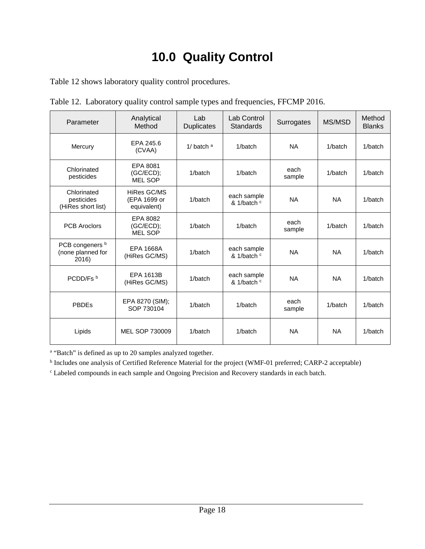# **10.0 Quality Control**

<span id="page-17-0"></span>Table 12 shows laboratory quality control procedures.

| Parameter                                       | Analytical<br>Method                       | Lab<br><b>Duplicates</b> | Lab Control<br>Standards   | Surrogates     | MS/MSD    | Method<br><b>Blanks</b> |
|-------------------------------------------------|--------------------------------------------|--------------------------|----------------------------|----------------|-----------|-------------------------|
| Mercury                                         | EPA 245.6<br>(CVAA)                        | 1/ batch $a$             | 1/batch                    | <b>NA</b>      | 1/batch   | 1/batch                 |
| Chlorinated<br>pesticides                       | EPA 8081<br>(GC/ECD);<br><b>MEL SOP</b>    | 1/batch                  | 1/batch                    | each<br>sample | 1/batch   | 1/batch                 |
| Chlorinated<br>pesticides<br>(HiRes short list) | HiRes GC/MS<br>(EPA 1699 or<br>equivalent) | 1/batch                  | each sample<br>& 1/batch c | <b>NA</b>      | <b>NA</b> | 1/batch                 |
| <b>PCB Aroclors</b>                             | EPA 8082<br>$(GC/ECD)$ ;<br><b>MEL SOP</b> | 1/batch                  | 1/batch                    | each<br>sample | 1/batch   | 1/batch                 |
| PCB congeners b<br>(none planned for<br>2016)   | <b>EPA 1668A</b><br>(HiRes GC/MS)          | 1/batch                  | each sample<br>& 1/batch c | <b>NA</b>      | <b>NA</b> | 1/batch                 |
| PCDD/Fs b                                       | <b>EPA 1613B</b><br>(HiRes GC/MS)          | 1/batch                  | each sample<br>& 1/batch c | <b>NA</b>      | <b>NA</b> | 1/batch                 |
| <b>PBDEs</b>                                    | EPA 8270 (SIM);<br>SOP 730104              | 1/batch                  | 1/batch                    | each<br>sample | 1/batch   | 1/batch                 |
| Lipids                                          | MEL SOP 730009                             | 1/batch                  | 1/batch                    | <b>NA</b>      | <b>NA</b> | 1/batch                 |

<span id="page-17-1"></span>Table 12. Laboratory quality control sample types and frequencies, FFCMP 2016.

a "Batch" is defined as up to 20 samples analyzed together.

<sup>b</sup> Includes one analysis of Certified Reference Material for the project (WMF-01 preferred; CARP-2 acceptable)

<sup>c</sup> Labeled compounds in each sample and Ongoing Precision and Recovery standards in each batch.